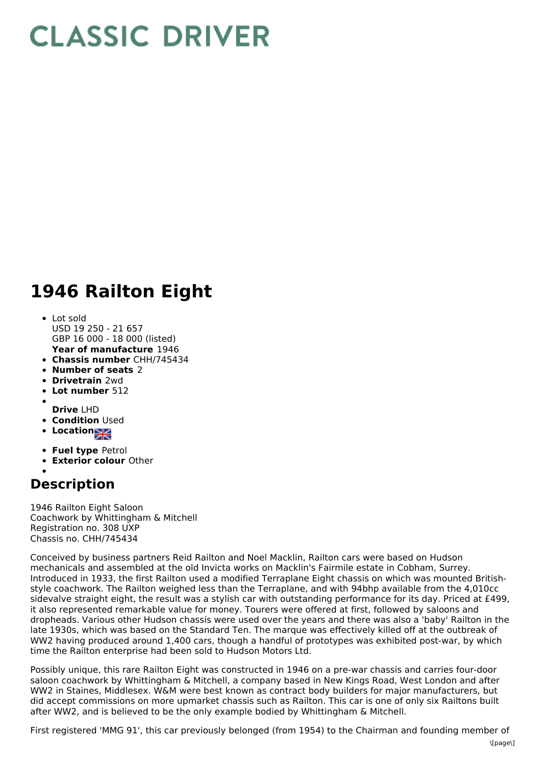## **CLASSIC DRIVER**

## **1946 Railton Eight**

- **Year of manufacture** 1946 • Lot sold USD 19 250 - 21 657 GBP 16 000 - 18 000 (listed)
- **Chassis number** CHH/745434
- **Number of seats** 2
- **Drivetrain** 2wd
- **Lot number** 512
- **Drive** LHD
- **Condition Used**
- **Location**
- **Fuel type** Petrol
- **Exterior colour** Other
- 

## **Description**

1946 Railton Eight Saloon Coachwork by Whittingham & Mitchell Registration no. 308 UXP Chassis no. CHH/745434

Conceived by business partners Reid Railton and Noel Macklin, Railton cars were based on Hudson mechanicals and assembled at the old Invicta works on Macklin's Fairmile estate in Cobham, Surrey. Introduced in 1933, the first Railton used a modified Terraplane Eight chassis on which was mounted Britishstyle coachwork. The Railton weighed less than the Terraplane, and with 94bhp available from the 4,010cc sidevalve straight eight, the result was a stylish car with outstanding performance for its day. Priced at £499, it also represented remarkable value for money. Tourers were offered at first, followed by saloons and dropheads. Various other Hudson chassis were used over the years and there was also a 'baby' Railton in the late 1930s, which was based on the Standard Ten. The marque was effectively killed off at the outbreak of WW2 having produced around 1,400 cars, though a handful of prototypes was exhibited post-war, by which time the Railton enterprise had been sold to Hudson Motors Ltd.

Possibly unique, this rare Railton Eight was constructed in 1946 on a pre-war chassis and carries four-door saloon coachwork by Whittingham & Mitchell, a company based in New Kings Road, West London and after WW2 in Staines, Middlesex. W&M were best known as contract body builders for major manufacturers, but did accept commissions on more upmarket chassis such as Railton. This car is one of only six Railtons built after WW2, and is believed to be the only example bodied by Whittingham & Mitchell.

First registered 'MMG 91', this car previously belonged (from 1954) to the Chairman and founding member of